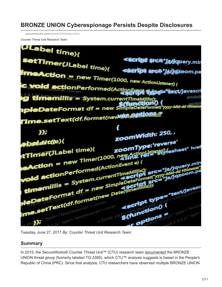# **BRONZE UNION Cyberespionage Persists Despite Disclosures**

**secureworks.com**[/research/bronze-union](https://www.secureworks.com/research/bronze-union)

Counter Threat Unit Research Team



Tuesday, June 27, 2017 *By: Counter Threat Unit Research Team*

## **Summary**

In 2015, the SecureWorks® Counter Threat Unit™ (CTU) research team [documented](https://www.secureworks.com/research/threat-group-3390-targets-organizations-for-cyberespionage) the BRONZE UNION threat group (formerly labeled TG-3390), which CTU™ analysis suggests is based in the People's Republic of China (PRC). Since that analysis, CTU researchers have observed multiple BRONZE UNION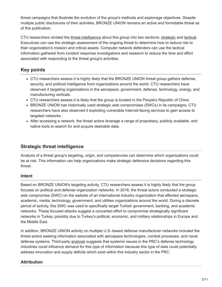threat campaigns that illustrate the evolution of the group's methods and espionage objectives. Despite multiple public disclosures of their activities, BRONZE UNION remains an active and formidable threat as of this publication.

CTU researchers divided the [threat intelligence](https://www.gartner.com/doc/2487216/definition-threat-intelligence) about this group into two sections: [strategic](#page-1-0) and [tactical](#page-2-0). Executives can use the strategic assessment of the ongoing threat to determine how to reduce risk to their organization's mission and critical assets. Computer network defenders can use the tactical information gathered from incident response investigations and research to reduce the time and effort associated with responding to the threat group's activities.

## **Key points**

- CTU researchers assess it is highly likely that the BRONZE UNION threat group gathers defense, security, and political intelligence from organizations around the world. CTU researchers have observed it targeting organizations in the aerospace, government, defense, technology, energy, and manufacturing verticals.
- CTU researchers assess it is likely that the group is located in the People's Republic of China.
- BRONZE UNION has historically used strategic web compromises (SWCs) in its campaigns, CTU researchers have also observed it exploiting vulnerable Internet-facing services to gain access to targeted networks.
- <span id="page-1-0"></span>After accessing a network, the threat actors leverage a range of proprietary, publicly available, and native tools to search for and acquire desirable data.

## **Strategic threat intelligence**

Analysis of a threat group's targeting, origin, and competencies can determine which organizations could be at risk. This information can help organizations make strategic defensive decisions regarding this threat.

### **Intent**

Based on BRONZE UNION's targeting activity, CTU researchers assess it is highly likely that the group focuses on political and defense organization networks. In 2016, the threat actors conducted a strategic web compromise (SWC) on the website of an international industry organization that affected aerospace, academic, media, technology, government, and utilities organizations around the world. During a discrete period of activity, this SWC was used to specifically target Turkish government, banking, and academic networks. These focused attacks suggest a concerted effort to compromise strategically significant networks in Turkey, possibly due to Turkey's political, economic, and military relationships in Europe and the Middle East.

In addition, BRONZE UNION activity on multiple U.S.-based defense manufacturer networks included the threat actors seeking information associated with aerospace technologies, combat processes, and naval defense systems. Third-party [analysis](http://www.css.ethz.ch/en/services/digital-library/articles/article.html/6db76427-8c94-4fcd-8ac8-8cf75cfa3815) suggests that systemic issues in the PRC's defense technology industries could influence demand for this type of information because this type of data could potentially address innovation and supply deficits which exist within this industry sector in the PRC.

## **Attribution**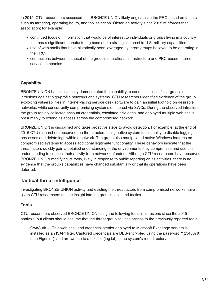In 2015, CTU researchers assessed that BRONZE UNION likely originates in the PRC based on factors such as targeting, operating hours, and tool selection. Observed activity since 2015 reinforces that association; for example:

- continued focus on information that would be of interest to individuals or groups living in a country that has a significant manufacturing base and a strategic interest in U.S. military capabilities
- use of web shells that have historically been leveraged by threat groups believed to be operating in the PRC
- connections between a subset of the group's operational infrastructure and PRC-based Internet service companies

## **Capability**

BRONZE UNION has consistently demonstrated the capability to conduct successful large-scale intrusions against high-profile networks and systems. CTU researchers identified evidence of the group exploiting vulnerabilities in Internet-facing service desk software to gain an initial foothold on desirable networks, while concurrently compromising systems of interest via SWCs. During the observed intrusions, the group rapidly collected account credentials, escalated privileges, and deployed multiple web shells presumably to extend its access across the compromised network.

<span id="page-2-0"></span>BRONZE UNION is disciplined and takes proactive steps to avoid detection. For example, at the end of 2016 CTU researchers observed the threat actors using native system functionality to disable logging processes and delete logs within a network. The group also manipulated native Windows features on compromised systems to access additional legitimate functionality. These behaviors indicate that the threat actors quickly gain a detailed understanding of the environments they compromise and use this understanding to conceal their activity from network defenders. Although CTU researchers have observed BRONZE UNION modifying its tools, likely in response to public reporting on its activities, there is no evidence that the group's capabilities have changed substantially or that its operations have been deterred.

## **Tactical threat intelligence**

Investigating BRONZE UNION activity and evicting the threat actors from compromised networks have given CTU researchers unique insight into the group's tools and tactics.

### **Tools**

CTU researchers observed BRONZE UNION using the following tools in intrusions since the 2015 analysis, but clients should assume that the threat group still has access to the previously reported tools.

OwaAuth — This web shell and credential stealer deployed to Microsoft Exchange servers is installed as an ISAPI filter. Captured credentials are DES-encrypted using the password "12345678" (see Figure 1), and are written to a text file (log.txt) in the system's root directory.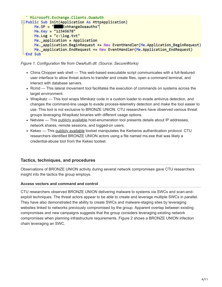```
' Microsoft. Exchange. Clients. OwaAuth
= Public Sub Init(Application As HttpApplication)
     Me.SP = "ExhhangeOwaauths"
     Me.Key = "12345678"
     Me. Log = "c: \log.txt"
     Me. application = Application
     Me. application. BeginRequest += New EventHandler(Me.Application BeginRequest)
     Me._application.EndRequest += New EventHandler(Me.Application_EndRequest)
 End Sub
```
*Figure 1. Configuration file from OwaAuth.dll. (Source: SecureWorks)*

- China Chopper web shell This web-based executable script communicates with a full-featured user interface to allow threat actors to transfer and create files, open a command terminal, and interact with database servers.
- Rcmd This lateral movement tool facilitates the execution of commands on systems across the target environment.
- Wrapikatz This tool wraps Mimikatz code in a custom loader to evade antivirus detection, and changes the command-line usage to evade process-telemetry detection and make the tool easier to use. This tool is not exclusive to BRONZE UNION. CTU researchers have observed various threat groups leveraging Wrapikatz binaries with different usage options.
- Netview This [publicly available](https://github.com/mubix/netview) host-enumeration tool presents details about IP addresses, network shares, remote sessions, and logged-on users.
- Kekeo This [publicly available](https://github.com/gentilkiwi/kekeo) toolset manipulates the Kerberos authentication protocol. CTU researchers identified BRONZE UNION actors using a file named ms.exe that was likely a credential-abuse tool from the Kekeo toolset.

### **Tactics, techniques, and procedures**

Observations of BRONZE UNION activity during several network compromises gave CTU researchers insight into the tactics the group employs.

#### **Access vectors and command and control**

CTU researchers observed BRONZE UNION delivering malware to systems via SWCs and scan-andexploit techniques. The threat actors appear to be able to create and leverage multiple SWCs in parallel. They have also demonstrated the ability to create SWCs and malware-staging sites by leveraging websites linked to networks previously compromised by the group. Apparent overlap between existing compromises and new campaigns suggests that the group considers leveraging existing network compromises when planning infrastructure requirements. Figure 2 shows a BRONZE UNION infection chain leveraging an SWC.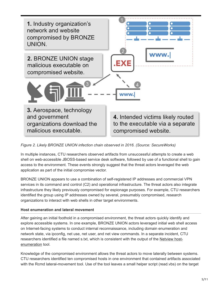

#### *Figure 2. Likely BRONZE UNION infection chain observed in 2016. (Source: SecureWorks)*

In multiple instances, CTU researchers observed artifacts from unsuccessful attempts to create a web shell on web-accessible JBOSS-based service desk software, followed by use of a functional shell to gain access to the environment. These events strongly suggest that the threat actors leveraged the web application as part of the initial compromise vector.

BRONZE UNION appears to use a combination of self-registered IP addresses and commercial VPN services in its command and control (C2) and operational infrastructure. The threat actors also integrate infrastructure they likely previously compromised for espionage purposes. For example, CTU researchers identified the group using IP addresses owned by several, presumably compromised, research organizations to interact with web shells in other target environments.

#### **Host enumeration and lateral movement**

After gaining an initial foothold in a compromised environment, the threat actors quickly identify and explore accessible systems. In one example, BRONZE UNION actors leveraged initial web shell access on Internet-facing systems to conduct internal reconnaissance, including domain enumeration and network state, via ipconfig, net use, net user, and net view commands. In a separate incident, CTU [researchers identified a file named s.txt, which is consistent with the output of the Netview host](https://github.com/mubix/netview)enumeration tool.

Knowledge of the compromised environment allows the threat actors to move laterally between systems. CTU researchers identified ten compromised hosts in one environment that contained artifacts associated with the Rcmd lateral-movement tool. Use of the tool leaves a small helper script (read.vbs) on the target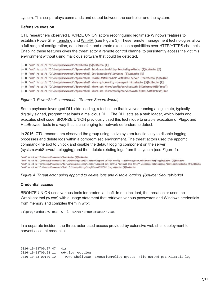system. This script relays commands and output between the controller and the system.

#### **Defensive evasion**

CTU researchers observed BRONZE UNION actors reconfiguring legitimate Windows features to establish PowerShell [remoting](https://docs.microsoft.com/en-us/powershell/module/microsoft.powershell.core/enable-psremoting?view=powershell-7.1) and [WinRM](https://blogs.msdn.microsoft.com/powershell/2015/10/27/compromising-yourself-with-winrms-allowunencrypted-true/) (see Figure 3). These remote management technologies allow a full range of configuration, data transfer, and remote execution capabilities over HTTP/HTTPS channels. Enabling these features gives the threat actor a remote control channel to persistently access the victim's environment without using malicious software that could be detected.

-  $\Phi$  "cmd" /c cd /d "C:\inetpub\wwwroot\"&ver&echo [S]&cd&echo [E] - ♦ "cmd" /c cd /d "C:\inetpub\wwwroot\"&powershell Set-ExecutionPolicy RemoteSigned&echo [S]&cd&echo [E] -  $\Phi$  "cmd" /c cd /d "C:\inetpub\wwwroot\"&powershell Get-ExecutionPolicy&echo [S]&cd&echo [E] - ✿ "cmd" /c cd /d "C:\inetpub\wwwroot\"&powershell Enable-WSManCredSSP =2013Role Server -force&echo [S]&cd&ec - « "cmd" /c cd /d "C:\inetpub\wwwroot\"&powershell winrm quickconfig -transport:https&echo [S]&cd&echo [E] — 登 "cmd" /c cd /d "C:\inetpub\wwwroot\"&powershell winrm set winrm/config/service/Auth @{Kerberos=003D"true"} ← © "cmd" /c cd /d "C:\inetpub\wwwroot\"&powershell winrm set winrm/config/service/auth @{Basic=003D"true"}&ec

#### *Figure 3. PowerShell commands. (Source: SecureWorks)*

Some payloads leveraged DLL side loading, a technique that involves running a legitimate, typically digitally signed, program that loads a malicious DLL. The DLL acts as a stub loader, which loads and executes shell code. BRONZE UNION previously used this technique to enable execution of PlugX and HttpBrowser tools in a way that is challenging for network defenders to detect.

In 2016, CTU researchers observed the group using native system functionality to disable logging processes and delete logs within a compromised environment. The threat actors used the appome command-line tool to unlock and disable the default logging component on the server (systsm.webServer/httplogging) and then delete existing logs from the system (see Figure 4).

"cmd" /c cd /d "C:\inetpub\wwwroot\"&ver&echo [S]&cd&echo "cmd" /c cd /d "C:\inetpub\wwwroot\"&c:\windows\system32\inetsrv\appcmd unlock config -section:system.webServer/httplogging&echo [S]&cd&echo "cmd" /c cd /d "C:\inetpub\wwwroot\"&c:\windows\system32\inetsrv\appcmd set config "Default Web Site/" /section:httplogging /dontLog:true&echo [S]&cd&echo "cmd" /c cd /d "C:\inetpub\wwwroot\"&del C:\inetpub\logs\LogFiles\W3SVC1\\*.log /q&echo [S]&cd&echo

*Figure 4. Threat actor using appcmd to delete logs and disable logging. (Source: SecureWorks)*

#### **Credential access**

BRONZE UNION uses various tools for credential theft. In one incident, the threat actor used the Wrapikatz tool (w.exe) with a usage statement that retrieves various passwords and Windows credentials from memory and compiles them in w.txt:

c:\programdata\w.exe –w –l –c>>c:\programdata\w.txt

In a separate incident, the threat actor used access provided by extensive web shell deployment to harvest account credentials:

2016-10-03T09:27:47 dir 2016-10-03T09:28:11 w64.log >ppp.log 2016-10-03T09:30:10 PowerShell.exe -ExecutionPolicy Bypass -File getpwd.ps1 >iistail.log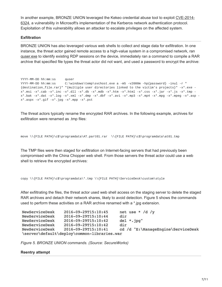[In another example, BRONZE UNION leveraged the Kekeo credential abuse tool to exploit CVE-2014-](https://nvd.nist.gov/vuln/detail/CVE-2014-6324) 6324, a vulnerability in Microsoft's implementation of the Kerberos network authentication protocol. Exploitation of this vulnerability allows an attacker to escalate privileges on the affected system.

#### **Exfiltration**

BRONZE UNION has also leveraged various web shells to collect and stage data for exfiltration. In one instance, the threat actor gained remote access to a high-value system in a compromised network, ran guser.exe to identify existing RDP sessions on the device, immediately ran a command to compile a RAR archive that specified file types the threat actor did not want, and used a password to encrypt the archive:

YYYY-MM-DD hh:mm:ss quser YYYY-MM-DD hh:mm:ss C:\windows\temp\svchost.exe a -m5 -v2000m -hp{password} -inul -r " {destination\_file.rar}" "{multiple user directories linked to the victim's projects}" -x\*.exe  $x^*$ .msi -x\*.cab -x\*.inc -x\*.dll -x\*.db -x\*.mdb -x\*.htm -x\*.html -x\*.css -x\*.jar -x\*.js -x\*.tmp x\*.bak -x\*.dat -x\*.log -x\*.xml -x\*.dmp -x\*.dbf -x\*.avi -x\*.mp3 -x\*.mp4 -x\*.mpg -x\*.mpeg -x\*.asp x\*.aspx -x\*.gif -x\*.jpg -x\*.mpp -x\*.pst

The threat actors typically rename the encrypted RAR archives. In the following example, archives for exfiltration were renamed as .tmp files:

```
move \\{FILE PATH}\c$\programdata\AT.part01.rar \\{FILE PATH}\c$\programdata\at01.tmp
```
The TMP files were then staged for exfiltration on Internet-facing servers that had previously been compromised with the China Chopper web shell. From those servers the threat actor could use a web shell to retrieve the encrypted archives:

```
copy \\{FILE PATH}\c$\programdata\*.tmp \\{FILE PATH}\ServiceDesk\custom\style
```
After exfiltrating the files, the threat actor used web shell access on the staging server to delete the staged RAR archives and detach their network shares, likely to avoid detection. Figure 5 shows the commands used to perform these activities on a RAR archive renamed with a \*.jpg extension.

| NewServiceDesk | 2016-09-29T15:10:45                         | net use * /d /y                    |
|----------------|---------------------------------------------|------------------------------------|
| NewServiceDesk | 2016-09-29T15:10:44                         | dir                                |
| NewServiceDesk | 2016-09-29T15:10:42                         | $del * .jpq"$                      |
| NewServiceDesk | 2016-09-29T15:10:42                         | dir                                |
| NewServiceDesk | 2016-09-29T15:10:41                         | cd /d "E:\ManageEngine\ServiceDesk |
|                | \server\default\deploy\common-libraries.war |                                    |

*Figure 5. BRONZE UNION commands. (Source: SecureWorks)*

#### **Reentry attempt**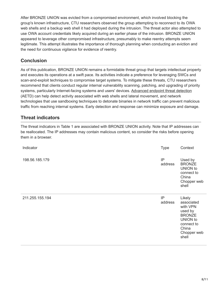After BRONZE UNION was evicted from a compromised environment, which involved blocking the group's known infrastructure, CTU researchers observed the group attempting to reconnect to its OWA web shells and a backup web shell it had deployed during the intrusion. The threat actor also attempted to use OWA account credentials likely acquired during an earlier phase of the intrusion. BRONZE UNION appeared to leverage other compromised infrastructure, presumably to make reentry attempts seem legitimate. This attempt illustrates the importance of thorough planning when conducting an eviction and the need for continuous vigilance for evidence of reentry.

## **Conclusion**

As of this publication, BRONZE UNION remains a formidable threat group that targets intellectual property and executes its operations at a swift pace. Its activities indicate a preference for leveraging SWCs and scan-and-exploit techniques to compromise target systems. To mitigate these threats, CTU researchers recommend that clients conduct regular internal vulnerability scanning, patching, and upgrading of priority systems, particularly Internet-facing systems and users' devices. [Advanced endpoint threat detection](https://www.secureworks.com/capabilities/managed-security/endpoint-security/endpoint-threat-detection) (AETD) can help detect activity associated with web shells and lateral movement, and network technologies that use sandboxing techniques to detonate binaries in network traffic can prevent malicious traffic from reaching internal systems. Early detection and response can minimize exposure and damage.

## **Threat indicators**

The threat indicators in Table 1 are associated with BRONZE UNION activity. Note that IP addresses can be reallocated. The IP addresses may contain malicious content, so consider the risks before opening them in a browser.

| Indicator       | <b>Type</b>   | Context                                                                                                                 |
|-----------------|---------------|-------------------------------------------------------------------------------------------------------------------------|
| 198.56.185.179  | IP<br>address | Used by<br><b>BRONZE</b><br>UNION to<br>connect to<br>China<br>Chopper web<br>shell                                     |
| 211.255.155.194 | IP<br>address | Likely<br>associated<br>with VPN<br>used by<br><b>BRONZE</b><br>UNION to<br>connect to<br>China<br>Chopper web<br>shell |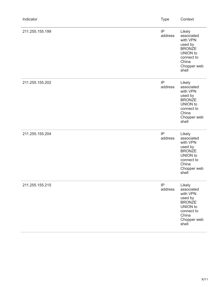| Indicator       | <b>Type</b>         | Context                                                                                                                        |
|-----------------|---------------------|--------------------------------------------------------------------------------------------------------------------------------|
| 211.255.155.199 | IP<br>address       | Likely<br>associated<br>with VPN<br>used by<br><b>BRONZE</b><br><b>UNION</b> to<br>connect to<br>China<br>Chopper web<br>shell |
| 211.255.155.202 | IP<br>address       | Likely<br>associated<br>with VPN<br>used by<br><b>BRONZE</b><br><b>UNION</b> to<br>connect to<br>China<br>Chopper web<br>shell |
| 211.255.155.204 | IP<br>address       | Likely<br>associated<br>with VPN<br>used by<br><b>BRONZE</b><br><b>UNION</b> to<br>connect to<br>China<br>Chopper web<br>shell |
| 211.255.155.215 | $\sf IP$<br>address | Likely<br>associated<br>with VPN<br>used by<br><b>BRONZE</b><br><b>UNION</b> to<br>connect to<br>China<br>Chopper web<br>shell |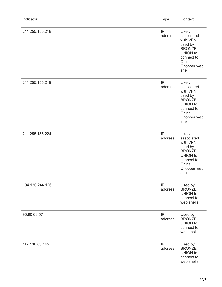| Indicator       | <b>Type</b>   | Context                                                                                                                        |
|-----------------|---------------|--------------------------------------------------------------------------------------------------------------------------------|
| 211.255.155.218 | IP<br>address | Likely<br>associated<br>with VPN<br>used by<br><b>BRONZE</b><br><b>UNION</b> to<br>connect to<br>China<br>Chopper web<br>shell |
| 211.255.155.219 | IP<br>address | Likely<br>associated<br>with VPN<br>used by<br><b>BRONZE</b><br>UNION to<br>connect to<br>China<br>Chopper web<br>shell        |
| 211.255.155.224 | IP<br>address | Likely<br>associated<br>with VPN<br>used by<br><b>BRONZE</b><br><b>UNION</b> to<br>connect to<br>China<br>Chopper web<br>shell |
| 104.130.244.126 | IP<br>address | Used by<br><b>BRONZE</b><br>UNION to<br>connect to<br>web shells                                                               |
| 96.90.63.57     | IP<br>address | Used by<br><b>BRONZE</b><br>UNION to<br>connect to<br>web shells                                                               |
| 117.136.63.145  | IP<br>address | Used by<br><b>BRONZE</b><br><b>UNION</b> to<br>connect to<br>web shells                                                        |